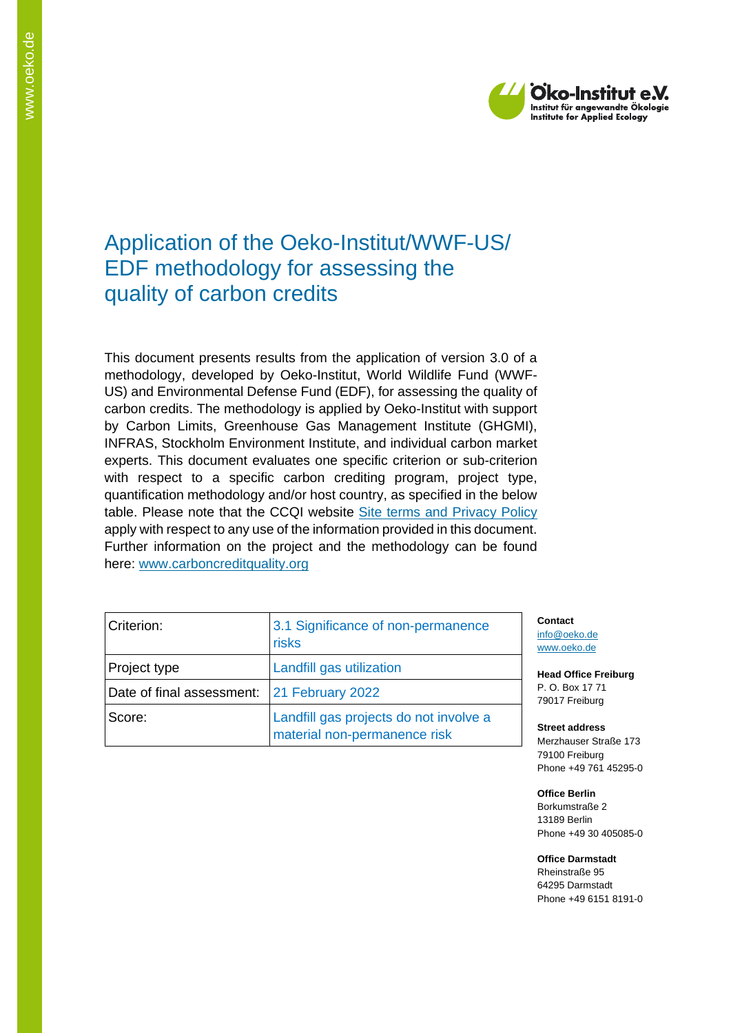

# Application of the Oeko-Institut/WWF-US/ EDF methodology for assessing the quality of carbon credits

This document presents results from the application of version 3.0 of a methodology, developed by Oeko-Institut, World Wildlife Fund (WWF-US) and Environmental Defense Fund (EDF), for assessing the quality of carbon credits. The methodology is applied by Oeko-Institut with support by Carbon Limits, Greenhouse Gas Management Institute (GHGMI), INFRAS, Stockholm Environment Institute, and individual carbon market experts. This document evaluates one specific criterion or sub-criterion with respect to a specific carbon crediting program, project type, quantification methodology and/or host country, as specified in the below table. Please note that the CCQI website [Site terms and Privacy Policy](https://carboncreditquality.org/terms.html) apply with respect to any use of the information provided in this document. Further information on the project and the methodology can be found here: [www.carboncreditquality.org](http://www.carboncreditquality.org/)

| Criterion:                | 3.1 Significance of non-permanence<br>risks                            |  |
|---------------------------|------------------------------------------------------------------------|--|
| Project type              | Landfill gas utilization                                               |  |
| Date of final assessment: | 21 February 2022                                                       |  |
| Score:                    | Landfill gas projects do not involve a<br>material non-permanence risk |  |

**Contact** [info@oeko.de](mailto:info@oeko.de) [www.oeko.de](http://www.oeko.de/)

**Head Office Freiburg** P. O. Box 17 71 79017 Freiburg

**Street address** Merzhauser Straße 173 79100 Freiburg Phone +49 761 45295-0

**Office Berlin** Borkumstraße 2 13189 Berlin Phone +49 30 405085-0

**Office Darmstadt** Rheinstraße 95 64295 Darmstadt Phone +49 6151 8191-0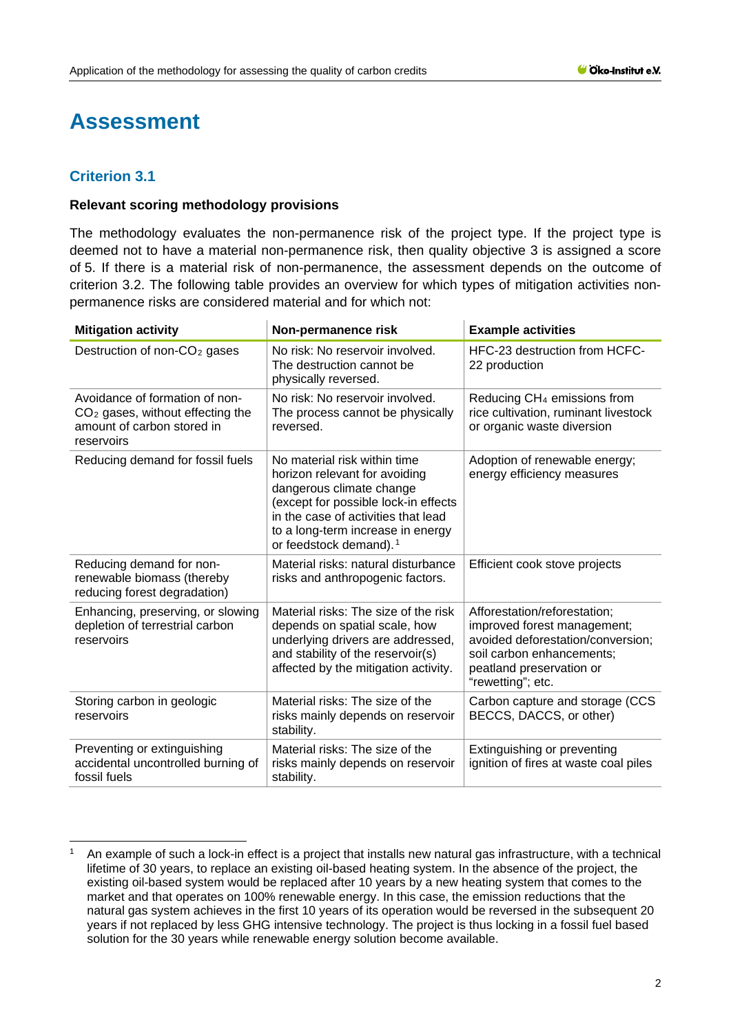# **Assessment**

## **Criterion 3.1**

#### **Relevant scoring methodology provisions**

The methodology evaluates the non-permanence risk of the project type. If the project type is deemed not to have a material non-permanence risk, then quality objective 3 is assigned a score of 5. If there is a material risk of non-permanence, the assessment depends on the outcome of criterion 3.2. The following table provides an overview for which types of mitigation activities nonpermanence risks are considered material and for which not:

| <b>Mitigation activity</b>                                                                                       | Non-permanence risk                                                                                                                                                                                                                                 | <b>Example activities</b>                                                                                                                                                      |
|------------------------------------------------------------------------------------------------------------------|-----------------------------------------------------------------------------------------------------------------------------------------------------------------------------------------------------------------------------------------------------|--------------------------------------------------------------------------------------------------------------------------------------------------------------------------------|
| Destruction of non-CO <sub>2</sub> gases                                                                         | No risk: No reservoir involved.<br>The destruction cannot be<br>physically reversed.                                                                                                                                                                | HFC-23 destruction from HCFC-<br>22 production                                                                                                                                 |
| Avoidance of formation of non-<br>$CO2$ gases, without effecting the<br>amount of carbon stored in<br>reservoirs | No risk: No reservoir involved.<br>The process cannot be physically<br>reversed.                                                                                                                                                                    | Reducing CH <sub>4</sub> emissions from<br>rice cultivation, ruminant livestock<br>or organic waste diversion                                                                  |
| Reducing demand for fossil fuels                                                                                 | No material risk within time<br>horizon relevant for avoiding<br>dangerous climate change<br>(except for possible lock-in effects<br>in the case of activities that lead<br>to a long-term increase in energy<br>or feedstock demand). <sup>1</sup> | Adoption of renewable energy;<br>energy efficiency measures                                                                                                                    |
| Reducing demand for non-<br>renewable biomass (thereby<br>reducing forest degradation)                           | Material risks: natural disturbance<br>risks and anthropogenic factors.                                                                                                                                                                             | Efficient cook stove projects                                                                                                                                                  |
| Enhancing, preserving, or slowing<br>depletion of terrestrial carbon<br>reservoirs                               | Material risks: The size of the risk<br>depends on spatial scale, how<br>underlying drivers are addressed,<br>and stability of the reservoir(s)<br>affected by the mitigation activity.                                                             | Afforestation/reforestation;<br>improved forest management;<br>avoided deforestation/conversion;<br>soil carbon enhancements;<br>peatland preservation or<br>"rewetting"; etc. |
| Storing carbon in geologic<br>reservoirs                                                                         | Material risks: The size of the<br>risks mainly depends on reservoir<br>stability.                                                                                                                                                                  | Carbon capture and storage (CCS<br>BECCS, DACCS, or other)                                                                                                                     |
| Preventing or extinguishing<br>accidental uncontrolled burning of<br>fossil fuels                                | Material risks: The size of the<br>risks mainly depends on reservoir<br>stability.                                                                                                                                                                  | Extinguishing or preventing<br>ignition of fires at waste coal piles                                                                                                           |

<span id="page-1-0"></span><sup>1</sup> An example of such a lock-in effect is a project that installs new natural gas infrastructure, with a technical lifetime of 30 years, to replace an existing oil-based heating system. In the absence of the project, the existing oil-based system would be replaced after 10 years by a new heating system that comes to the market and that operates on 100% renewable energy. In this case, the emission reductions that the natural gas system achieves in the first 10 years of its operation would be reversed in the subsequent 20 years if not replaced by less GHG intensive technology. The project is thus locking in a fossil fuel based solution for the 30 years while renewable energy solution become available.